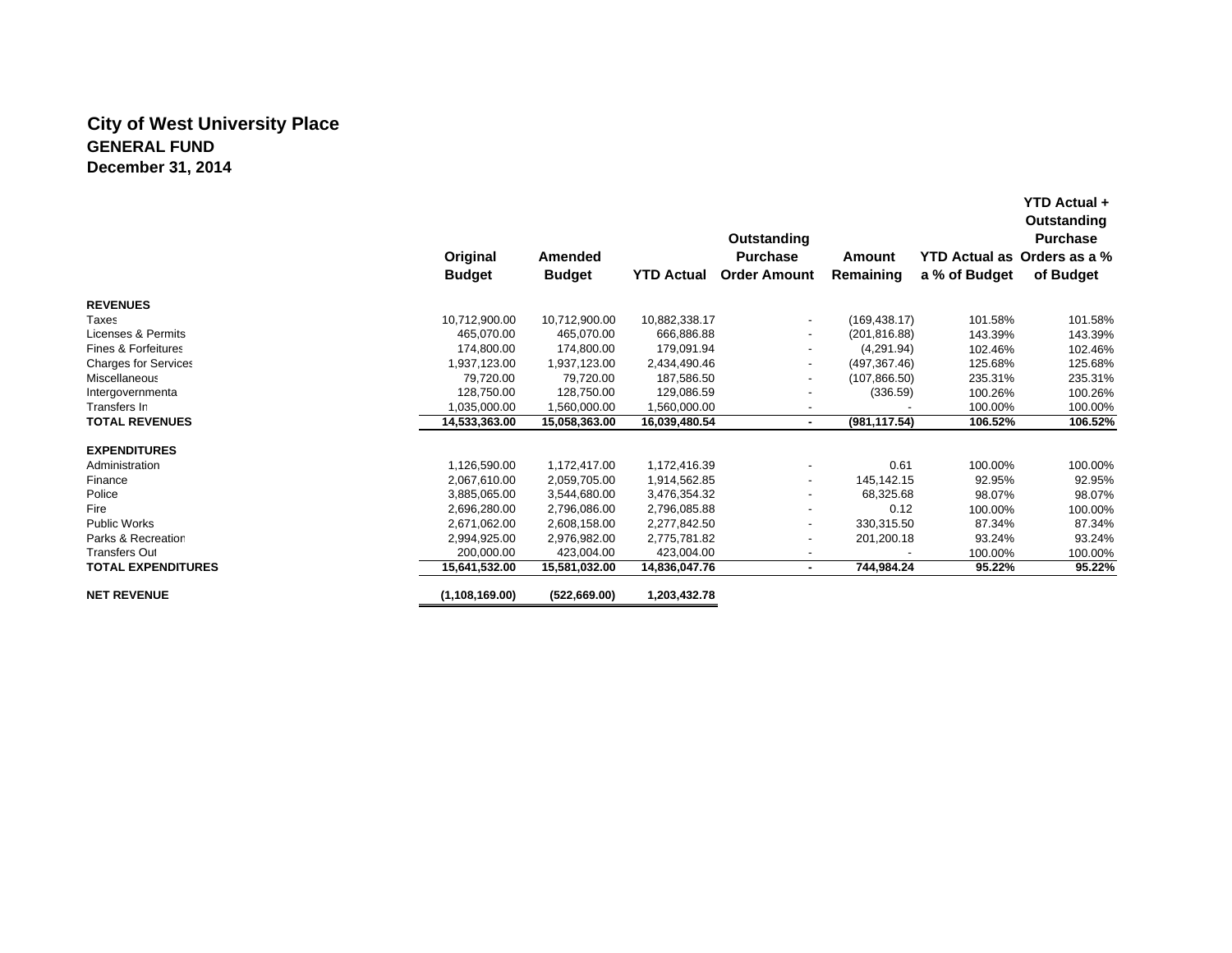# **City of West University Place GENERAL FUNDDecember 31, 2014**

|                                |                  |               |                   | Outstanding              |               |                      | YTD Actual +<br>Outstanding<br><b>Purchase</b> |
|--------------------------------|------------------|---------------|-------------------|--------------------------|---------------|----------------------|------------------------------------------------|
|                                | Original         | Amended       |                   | <b>Purchase</b>          | Amount        | <b>YTD Actual as</b> | Orders as a %                                  |
|                                | <b>Budget</b>    | <b>Budget</b> | <b>YTD Actual</b> | <b>Order Amount</b>      | Remaining     | a % of Budget        | of Budget                                      |
| <b>REVENUES</b>                |                  |               |                   |                          |               |                      |                                                |
| Taxes                          | 10,712,900.00    | 10,712,900.00 | 10,882,338.17     | $\overline{\phantom{a}}$ | (169, 438.17) | 101.58%              | 101.58%                                        |
| Licenses & Permits             | 465.070.00       | 465,070.00    | 666,886.88        |                          | (201, 816.88) | 143.39%              | 143.39%                                        |
| <b>Fines &amp; Forfeitures</b> | 174,800.00       | 174.800.00    | 179,091.94        |                          | (4,291.94)    | 102.46%              | 102.46%                                        |
| <b>Charges for Services</b>    | 1,937,123.00     | 1,937,123.00  | 2,434,490.46      | $\blacksquare$           | (497, 367.46) | 125.68%              | 125.68%                                        |
| Miscellaneous                  | 79,720.00        | 79.720.00     | 187,586.50        | $\overline{\phantom{a}}$ | (107, 866.50) | 235.31%              | 235.31%                                        |
| Intergovernmenta               | 128.750.00       | 128.750.00    | 129,086.59        | $\overline{\phantom{a}}$ | (336.59)      | 100.26%              | 100.26%                                        |
| Transfers In                   | 1.035.000.00     | 1,560,000.00  | ,560,000.00       |                          |               | 100.00%              | 100.00%                                        |
| <b>TOTAL REVENUES</b>          | 14,533,363.00    | 15,058,363.00 | 16,039,480.54     | ٠                        | (981, 117.54) | 106.52%              | 106.52%                                        |
| <b>EXPENDITURES</b>            |                  |               |                   |                          |               |                      |                                                |
| Administration                 | 1,126,590.00     | 1,172,417.00  | 1,172,416.39      |                          | 0.61          | 100.00%              | 100.00%                                        |
| Finance                        | 2,067,610.00     | 2,059,705.00  | 1,914,562.85      | $\overline{\phantom{a}}$ | 145,142.15    | 92.95%               | 92.95%                                         |
| Police                         | 3,885,065.00     | 3,544,680.00  | 3,476,354.32      | $\overline{\phantom{a}}$ | 68,325.68     | 98.07%               | 98.07%                                         |
| Fire                           | 2,696,280.00     | 2,796,086.00  | 2,796,085.88      | $\overline{\phantom{a}}$ | 0.12          | 100.00%              | 100.00%                                        |
| Public Works                   | 2,671,062.00     | 2,608,158.00  | 2,277,842.50      | $\overline{\phantom{a}}$ | 330,315.50    | 87.34%               | 87.34%                                         |
| Parks & Recreation             | 2,994,925.00     | 2,976,982.00  | 2,775,781.82      | $\overline{\phantom{a}}$ | 201,200.18    | 93.24%               | 93.24%                                         |
| <b>Transfers Out</b>           | 200,000.00       | 423,004.00    | 423,004.00        | $\overline{\phantom{a}}$ |               | 100.00%              | 100.00%                                        |
| <b>TOTAL EXPENDITURES</b>      | 15,641,532.00    | 15,581,032.00 | 14,836,047.76     | ٠                        | 744,984.24    | 95.22%               | 95.22%                                         |
| <b>NET REVENUE</b>             | (1, 108, 169.00) | (522, 669.00) | 1,203,432.78      |                          |               |                      |                                                |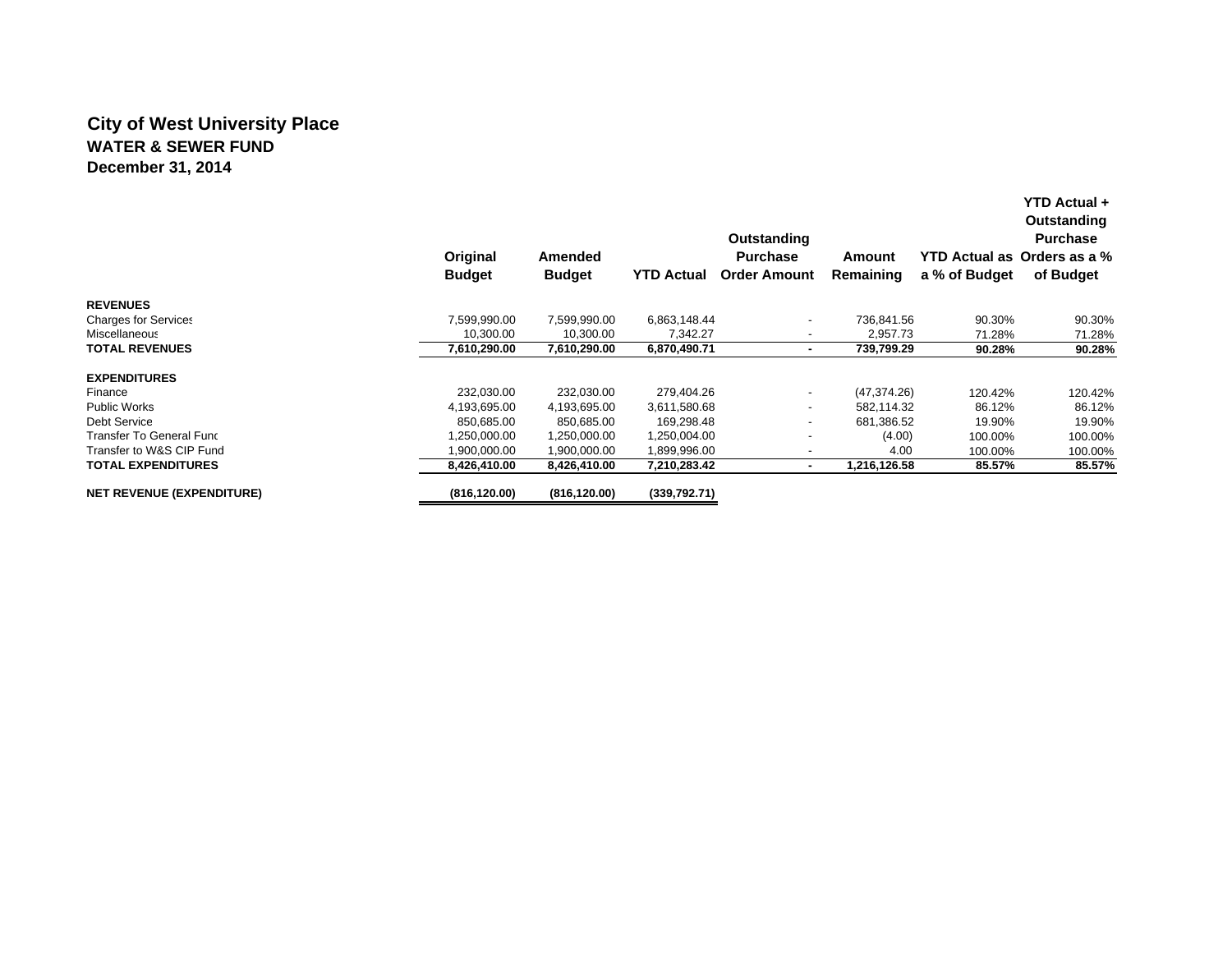# **City of West University Place WATER & SEWER FUNDDecember 31, 2014**

|                                  | Original<br><b>Budget</b> | Amended<br><b>Budget</b> | <b>YTD Actual</b> | Outstanding<br><b>Purchase</b><br><b>Order Amount</b> | Amount<br>Remaining | a % of Budget | Outstanding<br><b>Purchase</b><br>YTD Actual as Orders as a %<br>of Budget |
|----------------------------------|---------------------------|--------------------------|-------------------|-------------------------------------------------------|---------------------|---------------|----------------------------------------------------------------------------|
| <b>REVENUES</b>                  |                           |                          |                   |                                                       |                     |               |                                                                            |
| <b>Charges for Services</b>      | 7.599.990.00              | 7,599,990.00             | 6,863,148.44      | $\overline{\phantom{a}}$                              | 736.841.56          | 90.30%        | 90.30%                                                                     |
| Miscellaneous                    | 10,300.00                 | 10,300.00                | 7,342.27          | $\overline{\phantom{a}}$                              | 2,957.73            | 71.28%        | 71.28%                                                                     |
| <b>TOTAL REVENUES</b>            | 7,610,290.00              | 7,610,290.00             | 6,870,490.71      | ٠                                                     | 739,799.29          | 90.28%        | 90.28%                                                                     |
| <b>EXPENDITURES</b>              |                           |                          |                   |                                                       |                     |               |                                                                            |
| Finance                          | 232,030.00                | 232,030.00               | 279,404.26        | $\overline{\phantom{a}}$                              | (47, 374.26)        | 120.42%       | 120.42%                                                                    |
| <b>Public Works</b>              | 4,193,695.00              | 4,193,695.00             | 3,611,580.68      | $\overline{\phantom{a}}$                              | 582.114.32          | 86.12%        | 86.12%                                                                     |
| Debt Service                     | 850.685.00                | 850.685.00               | 169,298.48        | $\overline{\phantom{a}}$                              | 681.386.52          | 19.90%        | 19.90%                                                                     |
| Transfer To General Func         | 1,250,000.00              | 1,250,000.00             | 1,250,004.00      | $\overline{\phantom{a}}$                              | (4.00)              | 100.00%       | 100.00%                                                                    |
| Transfer to W&S CIP Fund         | 00.000.000,               | 1,900,000.00             | 1,899,996.00      | $\overline{\phantom{a}}$                              | 4.00                | 100.00%       | 100.00%                                                                    |
| <b>TOTAL EXPENDITURES</b>        | 8.426.410.00              | 8,426,410.00             | 7,210,283.42      | ۰                                                     | 1,216,126.58        | 85.57%        | 85.57%                                                                     |
| <b>NET REVENUE (EXPENDITURE)</b> | (816, 120.00)             | (816, 120.00)            | (339,792.71)      |                                                       |                     |               |                                                                            |

**YTD Actual +**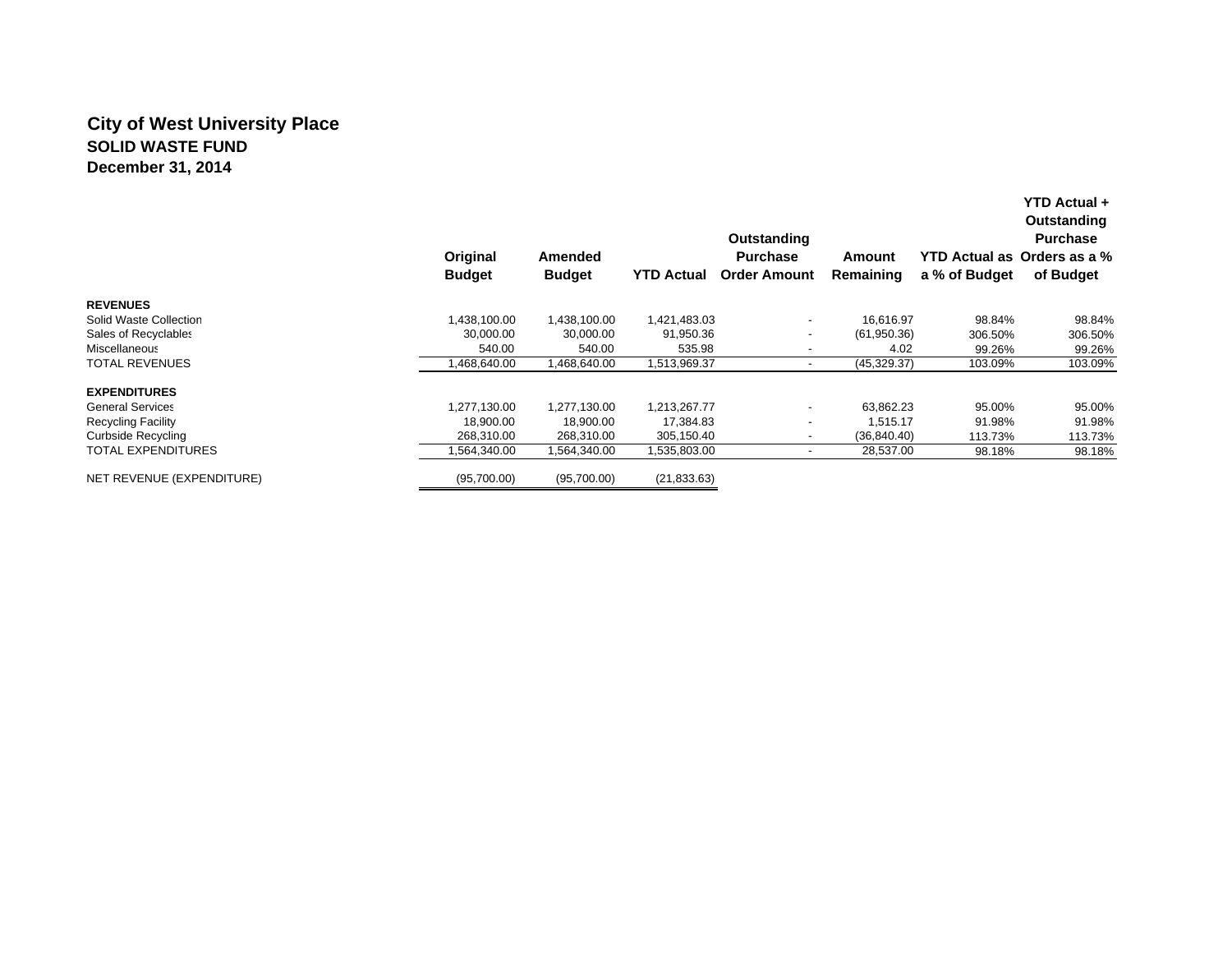# **City of West University Place SOLID WASTE FUNDDecember 31, 2014**

|                           | Original<br><b>Budget</b> | Amended<br><b>Budget</b> | <b>YTD Actual</b> | Outstanding<br><b>Purchase</b><br><b>Order Amount</b> | Amount<br>Remaining | a % of Budget | YTD Actual +<br>Outstanding<br><b>Purchase</b><br>YTD Actual as Orders as a %<br>of Budget |
|---------------------------|---------------------------|--------------------------|-------------------|-------------------------------------------------------|---------------------|---------------|--------------------------------------------------------------------------------------------|
| <b>REVENUES</b>           |                           |                          |                   |                                                       |                     |               |                                                                                            |
| Solid Waste Collection    | 1,438,100.00              | 1,438,100.00             | 1,421,483.03      | $\overline{\phantom{a}}$                              | 16,616.97           | 98.84%        | 98.84%                                                                                     |
| Sales of Recyclables      | 30,000.00                 | 30,000.00                | 91,950.36         | $\overline{\phantom{a}}$                              | (61,950.36)         | 306.50%       | 306.50%                                                                                    |
| Miscellaneous             | 540.00                    | 540.00                   | 535.98            |                                                       | 4.02                | 99.26%        | 99.26%                                                                                     |
| <b>TOTAL REVENUES</b>     | ,468,640.00               | 468,640.00               | 1,513,969.37      |                                                       | (45, 329.37)        | 103.09%       | 103.09%                                                                                    |
| <b>EXPENDITURES</b>       |                           |                          |                   |                                                       |                     |               |                                                                                            |
| <b>General Services</b>   | 1.277.130.00              | 1,277,130.00             | 1,213,267.77      | $\blacksquare$                                        | 63.862.23           | 95.00%        | 95.00%                                                                                     |
| <b>Recycling Facility</b> | 18,900.00                 | 18,900.00                | 17,384.83         | $\overline{\phantom{0}}$                              | 1,515.17            | 91.98%        | 91.98%                                                                                     |
| <b>Curbside Recycling</b> | 268,310.00                | 268,310.00               | 305,150.40        | $\overline{\phantom{a}}$                              | (36, 840.40)        | 113.73%       | 113.73%                                                                                    |
| <b>TOTAL EXPENDITURES</b> | ,564,340.00               | 1,564,340.00             | 535,803.00        | $\overline{\phantom{a}}$                              | 28,537.00           | 98.18%        | 98.18%                                                                                     |
| NET REVENUE (EXPENDITURE) | (95,700.00)               | (95,700.00)              | (21, 833.63)      |                                                       |                     |               |                                                                                            |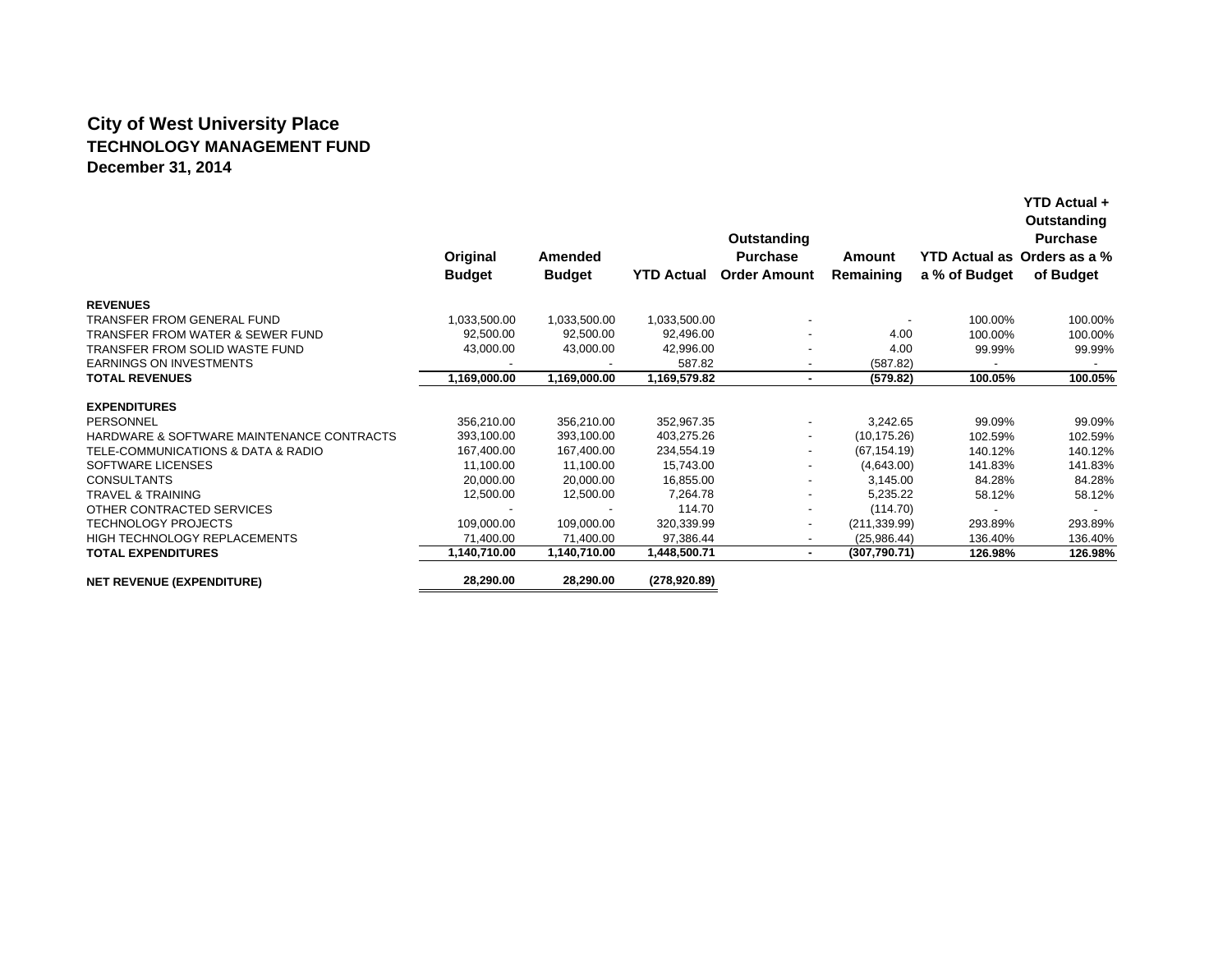# **City of West University Place TECHNOLOGY MANAGEMENT FUNDDecember 31, 2014**

|                                           |               |                |                   | Outstanding              |               |                             | Outstanding<br><b>Purchase</b> |  |
|-------------------------------------------|---------------|----------------|-------------------|--------------------------|---------------|-----------------------------|--------------------------------|--|
|                                           | Original      | <b>Amended</b> |                   | <b>Purchase</b>          | Amount        | YTD Actual as Orders as a % |                                |  |
|                                           | <b>Budget</b> | <b>Budget</b>  | <b>YTD Actual</b> | <b>Order Amount</b>      | Remaining     | a % of Budget               | of Budget                      |  |
| <b>REVENUES</b>                           |               |                |                   |                          |               |                             |                                |  |
| <b>TRANSFER FROM GENERAL FUND</b>         | 1,033,500.00  | 1,033,500.00   | 1,033,500.00      |                          |               | 100.00%                     | 100.00%                        |  |
| TRANSFER FROM WATER & SEWER FUND          | 92,500.00     | 92,500.00      | 92,496.00         |                          | 4.00          | 100.00%                     | 100.00%                        |  |
| TRANSFER FROM SOLID WASTE FUND            | 43,000.00     | 43,000.00      | 42,996.00         |                          | 4.00          | 99.99%                      | 99.99%                         |  |
| <b>EARNINGS ON INVESTMENTS</b>            |               |                | 587.82            |                          | (587.82)      | $\sim$                      |                                |  |
| <b>TOTAL REVENUES</b>                     | 1,169,000.00  | 1,169,000.00   | 1,169,579.82      | ۰                        | (579.82)      | 100.05%                     | 100.05%                        |  |
| <b>EXPENDITURES</b>                       |               |                |                   |                          |               |                             |                                |  |
| PERSONNEL                                 | 356,210.00    | 356,210.00     | 352,967.35        |                          | 3,242.65      | 99.09%                      | 99.09%                         |  |
| HARDWARE & SOFTWARE MAINTENANCE CONTRACTS | 393,100.00    | 393,100.00     | 403,275.26        |                          | (10, 175.26)  | 102.59%                     | 102.59%                        |  |
| TELE-COMMUNICATIONS & DATA & RADIO        | 167,400.00    | 167,400.00     | 234,554.19        |                          | (67, 154.19)  | 140.12%                     | 140.12%                        |  |
| SOFTWARE LICENSES                         | 11,100.00     | 11,100.00      | 15,743.00         |                          | (4,643.00)    | 141.83%                     | 141.83%                        |  |
| <b>CONSULTANTS</b>                        | 20,000.00     | 20,000.00      | 16,855.00         |                          | 3,145.00      | 84.28%                      | 84.28%                         |  |
| <b>TRAVEL &amp; TRAINING</b>              | 12,500.00     | 12,500.00      | 7,264.78          |                          | 5,235.22      | 58.12%                      | 58.12%                         |  |
| OTHER CONTRACTED SERVICES                 |               |                | 114.70            |                          | (114.70)      |                             | $\overline{\phantom{a}}$       |  |
| <b>TECHNOLOGY PROJECTS</b>                | 109,000.00    | 109,000.00     | 320,339.99        | $\overline{\phantom{a}}$ | (211, 339.99) | 293.89%                     | 293.89%                        |  |
| <b>HIGH TECHNOLOGY REPLACEMENTS</b>       | 71,400.00     | 71,400.00      | 97,386.44         | $\overline{\phantom{a}}$ | (25,986.44)   | 136.40%                     | 136.40%                        |  |
| <b>TOTAL EXPENDITURES</b>                 | 1,140,710.00  | 1,140,710.00   | 1,448,500.71      | ٠.                       | (307,790.71)  | 126.98%                     | 126.98%                        |  |
| <b>NET REVENUE (EXPENDITURE)</b>          | 28,290.00     | 28,290.00      | (278,920.89)      |                          |               |                             |                                |  |

**YTD Actual +**